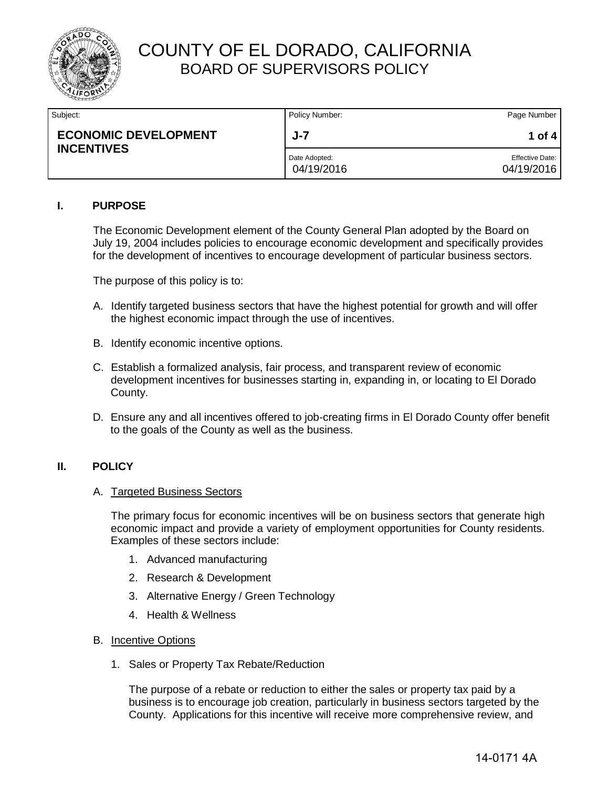

## COUNTY OF EL DORADO, CALIFORNIA BOARD OF SUPERVISORS POLICY

| Subject:                                         | Policy Number:              | Page Number                   |
|--------------------------------------------------|-----------------------------|-------------------------------|
| <b>ECONOMIC DEVELOPMENT</b><br><b>INCENTIVES</b> | $J - 7$                     | 1 of 4                        |
|                                                  | Date Adopted:<br>04/19/2016 | Effective Date:<br>04/19/2016 |

### **I. PURPOSE**

The Economic Development element of the County General Plan adopted by the Board on July 19, 2004 includes policies to encourage economic development and specifically provides for the development of incentives to encourage development of particular business sectors.

The purpose of this policy is to:

- A. Identify targeted business sectors that have the highest potential for growth and will offer the highest economic impact through the use of incentives.
- B. Identify economic incentive options.
- C. Establish a formalized analysis, fair process, and transparent review of economic development incentives for businesses starting in, expanding in, or locating to El Dorado County.
- D. Ensure any and all incentives offered to job-creating firms in El Dorado County offer benefit to the goals of the County as well as the business.

#### **II. POLICY**

#### A. Targeted Business Sectors

The primary focus for economic incentives will be on business sectors that generate high economic impact and provide a variety of employment opportunities for County residents. Examples of these sectors include:

- 1. Advanced manufacturing
- 2. Research & Development
- 3. Alternative Energy / Green Technology
- 4. Health & Wellness
- B. Incentive Options
	- 1. Sales or Property Tax Rebate/Reduction

The purpose of a rebate or reduction to either the sales or property tax paid by a business is to encourage job creation, particularly in business sectors targeted by the County. Applications for this incentive will receive more comprehensive review, and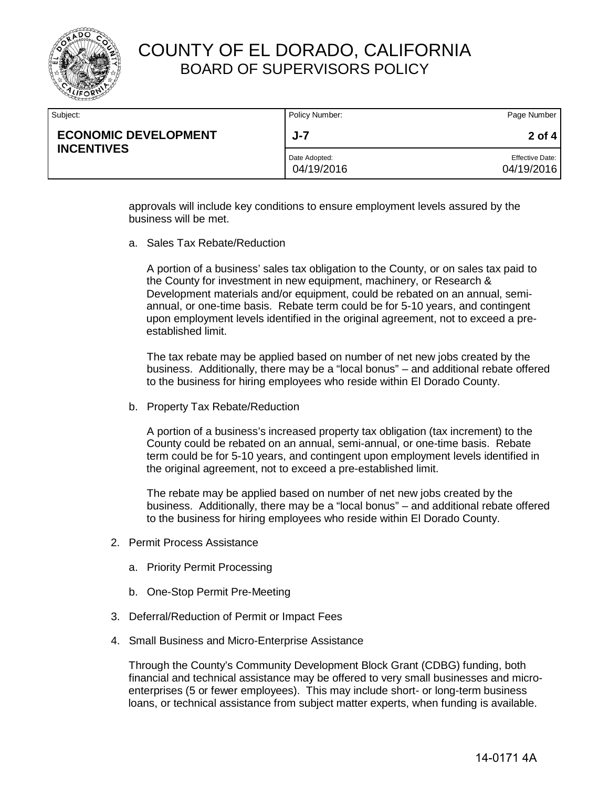

## COUNTY OF EL DORADO, CALIFORNIA BOARD OF SUPERVISORS POLICY

| Subject:                                         | Policy Number:              | Page Number                          |
|--------------------------------------------------|-----------------------------|--------------------------------------|
| <b>ECONOMIC DEVELOPMENT</b><br><b>INCENTIVES</b> | J-7                         | 2 of 4                               |
|                                                  | Date Adopted:<br>04/19/2016 | <b>Effective Date:</b><br>04/19/2016 |

approvals will include key conditions to ensure employment levels assured by the business will be met.

a. Sales Tax Rebate/Reduction

A portion of a business' sales tax obligation to the County, or on sales tax paid to the County for investment in new equipment, machinery, or Research & Development materials and/or equipment, could be rebated on an annual, semiannual, or one-time basis. Rebate term could be for 5-10 years, and contingent upon employment levels identified in the original agreement, not to exceed a preestablished limit.

The tax rebate may be applied based on number of net new jobs created by the business. Additionally, there may be a "local bonus" – and additional rebate offered to the business for hiring employees who reside within El Dorado County.

b. Property Tax Rebate/Reduction

A portion of a business's increased property tax obligation (tax increment) to the County could be rebated on an annual, semi-annual, or one-time basis. Rebate term could be for 5-10 years, and contingent upon employment levels identified in the original agreement, not to exceed a pre-established limit.

The rebate may be applied based on number of net new jobs created by the business. Additionally, there may be a "local bonus" – and additional rebate offered to the business for hiring employees who reside within El Dorado County.

- 2. Permit Process Assistance
	- a. Priority Permit Processing
	- b. One-Stop Permit Pre-Meeting
- 3. Deferral/Reduction of Permit or Impact Fees
- 4. Small Business and Micro-Enterprise Assistance

Through the County's Community Development Block Grant (CDBG) funding, both financial and technical assistance may be offered to very small businesses and microenterprises (5 or fewer employees). This may include short- or long-term business loans, or technical assistance from subject matter experts, when funding is available.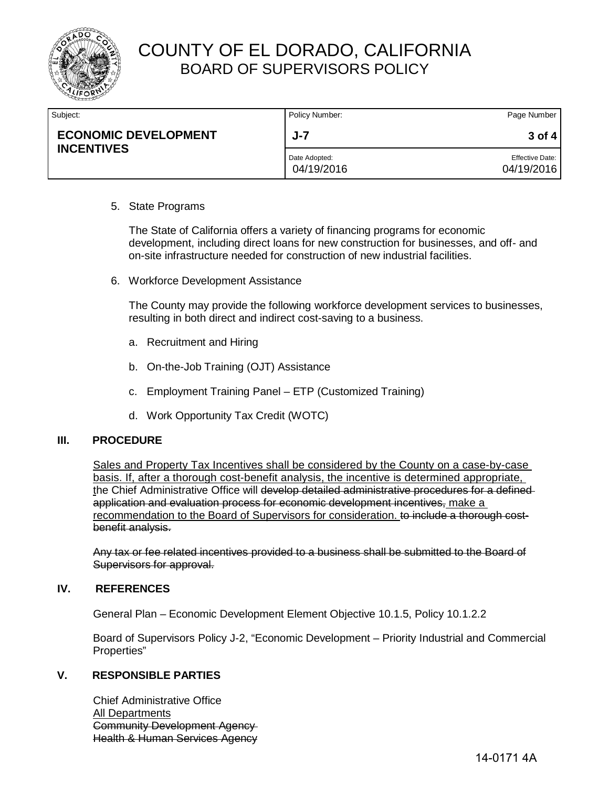

| Subject:                                         | Policy Number:              | Page Number                          |
|--------------------------------------------------|-----------------------------|--------------------------------------|
| <b>ECONOMIC DEVELOPMENT</b><br><b>INCENTIVES</b> | J-7                         | $3$ of 4                             |
|                                                  | Date Adopted:<br>04/19/2016 | <b>Effective Date:</b><br>04/19/2016 |

### 5. State Programs

The State of California offers a variety of financing programs for economic development, including direct loans for new construction for businesses, and off- and on-site infrastructure needed for construction of new industrial facilities.

6. Workforce Development Assistance

The County may provide the following workforce development services to businesses, resulting in both direct and indirect cost-saving to a business.

- a. Recruitment and Hiring
- b. On-the-Job Training (OJT) Assistance
- c. Employment Training Panel ETP (Customized Training)
- d. Work Opportunity Tax Credit (WOTC)

#### **III. PROCEDURE**

Sales and Property Tax Incentives shall be considered by the County on a case-by-case basis. If, after a thorough cost-benefit analysis, the incentive is determined appropriate, the Chief Administrative Office will develop detailed administrative procedures for a defined application and evaluation process for economic development incentives, make a recommendation to the Board of Supervisors for consideration. to include a thorough costbenefit analysis.

Any tax or fee related incentives provided to a business shall be submitted to the Board of Supervisors for approval.

#### **IV. REFERENCES**

General Plan – Economic Development Element Objective 10.1.5, Policy 10.1.2.2

Board of Supervisors Policy J-2, "Economic Development – Priority Industrial and Commercial Properties"

#### **V. RESPONSIBLE PARTIES**

Chief Administrative Office All Departments Community Development Agency Health & Human Services Agency